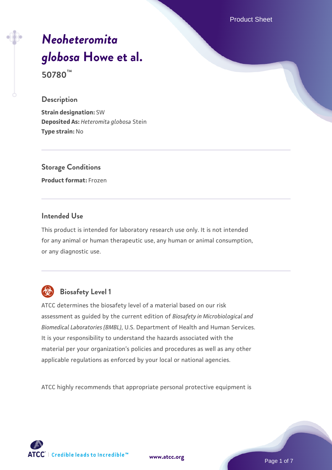Product Sheet

# *[Neoheteromita](https://www.atcc.org/products/50780) [globosa](https://www.atcc.org/products/50780)* **[Howe et al.](https://www.atcc.org/products/50780) 50780™**

#### **Description**

**Strain designation:** SW **Deposited As:** *Heteromita globosa* Stein **Type strain:** No

**Storage Conditions Product format:** Frozen

## **Intended Use**

This product is intended for laboratory research use only. It is not intended for any animal or human therapeutic use, any human or animal consumption, or any diagnostic use.



# **Biosafety Level 1**

ATCC determines the biosafety level of a material based on our risk assessment as guided by the current edition of *Biosafety in Microbiological and Biomedical Laboratories (BMBL)*, U.S. Department of Health and Human Services. It is your responsibility to understand the hazards associated with the material per your organization's policies and procedures as well as any other applicable regulations as enforced by your local or national agencies.

ATCC highly recommends that appropriate personal protective equipment is



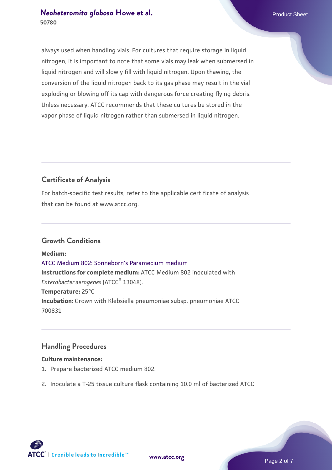## *[Neoheteromita globosa](https://www.atcc.org/products/50780)* **Howe et al.** Product Sheet **50780**

always used when handling vials. For cultures that require storage in liquid nitrogen, it is important to note that some vials may leak when submersed in liquid nitrogen and will slowly fill with liquid nitrogen. Upon thawing, the conversion of the liquid nitrogen back to its gas phase may result in the vial exploding or blowing off its cap with dangerous force creating flying debris. Unless necessary, ATCC recommends that these cultures be stored in the vapor phase of liquid nitrogen rather than submersed in liquid nitrogen.

## **Certificate of Analysis**

For batch-specific test results, refer to the applicable certificate of analysis that can be found at www.atcc.org.

## **Growth Conditions**

**Medium:**  [ATCC Medium 802: Sonneborn's Paramecium medium](https://www.atcc.org/-/media/product-assets/documents/microbial-media-formulations/8/0/2/atcc-medium-802.pdf?rev=73d25dbdd49b44529c8ac49753787d74) **Instructions for complete medium:** ATCC Medium 802 inoculated with *Enterobacter aerogenes* (ATCC® 13048). **Temperature:** 25°C **Incubation:** Grown with Klebsiella pneumoniae subsp. pneumoniae ATCC 700831

## **Handling Procedures**

#### **Culture maintenance:**

- 1. Prepare bacterized ATCC medium 802.
- 2. Inoculate a T-25 tissue culture flask containing 10.0 ml of bacterized ATCC

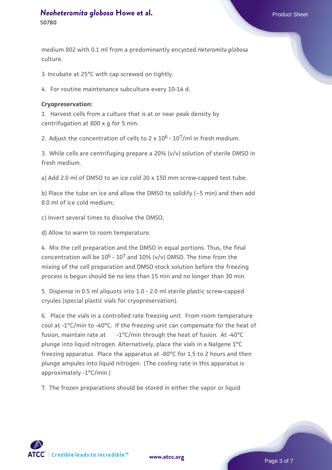## *[Neoheteromita globosa](https://www.atcc.org/products/50780)* [Howe et al.](https://www.atcc.org/products/50780) **Product Sheet** Product Sheet **50780**

medium 802 with 0.1 ml from a predominantly encysted *Heteromita globosa* culture.

3. Incubate at 25°C with cap screwed on tightly.

4. For routine maintenance subculture every 10-14 d.

#### **Cryopreservation:**

1. Harvest cells from a culture that is at or near peak density by centrifugation at 800 x g for 5 min.

2. Adjust the concentration of cells to  $2 \times 10^6$  -  $10^7$ /ml in fresh medium.

3. While cells are centrifuging prepare a 20% (v/v) solution of sterile DMSO in fresh medium.

a) Add 2.0 ml of DMSO to an ice cold 20 x 150 mm screw-capped test tube;

b) Place the tube on ice and allow the DMSO to solidify (~5 min) and then add 8.0 ml of ice cold medium;

c) Invert several times to dissolve the DMSO;

d) Allow to warm to room temperature.

4. Mix the cell preparation and the DMSO in equal portions. Thus, the final concentration will be  $10^6$  -  $10^7$  and  $10\%$  (v/v) DMSO. The time from the mixing of the cell preparation and DMSO stock solution before the freezing process is begun should be no less than 15 min and no longer than 30 min.

5. Dispense in 0.5 ml aliquots into 1.0 - 2.0 ml sterile plastic screw-capped cryules (special plastic vials for cryopreservation).

6. Place the vials in a controlled rate freezing unit. From room temperature cool at -1°C/min to -40°C. If the freezing unit can compensate for the heat of fusion, maintain rate at  $-1^{\circ}$ C/min through the heat of fusion. At -40 $^{\circ}$ C plunge into liquid nitrogen. Alternatively, place the vials in a Nalgene 1°C freezing apparatus. Place the apparatus at -80°C for 1.5 to 2 hours and then plunge ampules into liquid nitrogen. (The cooling rate in this apparatus is approximately -1°C/min.)

7. The frozen preparations should be stored in either the vapor or liquid

 $\mathsf{ATCC}^*$   $\vdash$  Credible leads to Incredible  $\mathbb {m}$ 

**[www.atcc.org](http://www.atcc.org)**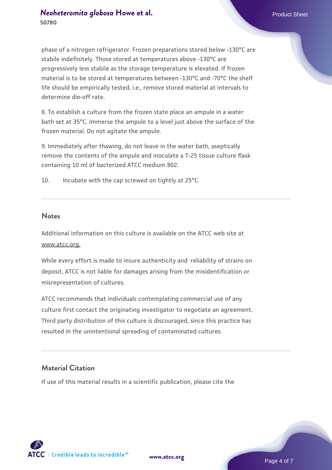phase of a nitrogen refrigerator. Frozen preparations stored below -130°C are stabile indefinitely. Those stored at temperatures above -130°C are progressively less stabile as the storage temperature is elevated. If frozen material is to be stored at temperatures between -130°C and -70°C the shelf life should be empirically tested, i.e., remove stored material at intervals to determine die-off rate.

8. To establish a culture from the frozen state place an ampule in a water bath set at 35°C. Immerse the ampule to a level just above the surface of the frozen material. Do not agitate the ampule.

9. Immediately after thawing, do not leave in the water bath, aseptically remove the contents of the ampule and inoculate a T-25 tissue culture flask containing 10 ml of bacterized ATCC medium 802.

10. Incubate with the cap screwed on tightly at 25°C.

#### **Notes**

Additional information on this culture is available on the ATCC web site at www.atcc.org.

While every effort is made to insure authenticity and reliability of strains on deposit, ATCC is not liable for damages arising from the misidentification or misrepresentation of cultures.

ATCC recommends that individuals contemplating commercial use of any culture first contact the originating investigator to negotiate an agreement. Third party distribution of this culture is discouraged, since this practice has resulted in the unintentional spreading of contaminated cultures.

## **Material Citation**

If use of this material results in a scientific publication, please cite the



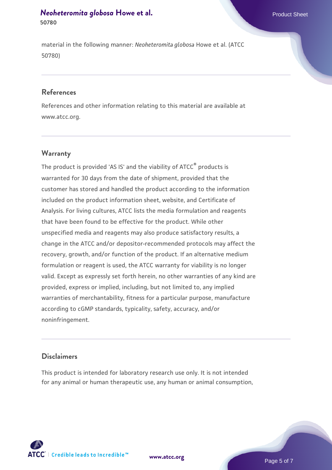## *[Neoheteromita globosa](https://www.atcc.org/products/50780)* [Howe et al.](https://www.atcc.org/products/50780) **Product Sheet** Product Sheet **50780**

material in the following manner: *Neoheteromita globosa* Howe et al. (ATCC 50780)

## **References**

References and other information relating to this material are available at www.atcc.org.

## **Warranty**

The product is provided 'AS IS' and the viability of  $ATCC<sup>®</sup>$  products is warranted for 30 days from the date of shipment, provided that the customer has stored and handled the product according to the information included on the product information sheet, website, and Certificate of Analysis. For living cultures, ATCC lists the media formulation and reagents that have been found to be effective for the product. While other unspecified media and reagents may also produce satisfactory results, a change in the ATCC and/or depositor-recommended protocols may affect the recovery, growth, and/or function of the product. If an alternative medium formulation or reagent is used, the ATCC warranty for viability is no longer valid. Except as expressly set forth herein, no other warranties of any kind are provided, express or implied, including, but not limited to, any implied warranties of merchantability, fitness for a particular purpose, manufacture according to cGMP standards, typicality, safety, accuracy, and/or noninfringement.

#### **Disclaimers**

This product is intended for laboratory research use only. It is not intended for any animal or human therapeutic use, any human or animal consumption,





Page 5 of 7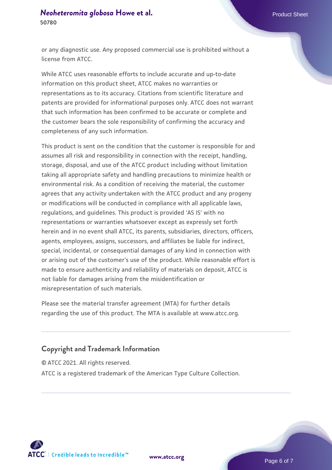## *[Neoheteromita globosa](https://www.atcc.org/products/50780)* [Howe et al.](https://www.atcc.org/products/50780) **Product Sheet** Product Sheet **50780**

or any diagnostic use. Any proposed commercial use is prohibited without a license from ATCC.

While ATCC uses reasonable efforts to include accurate and up-to-date information on this product sheet, ATCC makes no warranties or representations as to its accuracy. Citations from scientific literature and patents are provided for informational purposes only. ATCC does not warrant that such information has been confirmed to be accurate or complete and the customer bears the sole responsibility of confirming the accuracy and completeness of any such information.

This product is sent on the condition that the customer is responsible for and assumes all risk and responsibility in connection with the receipt, handling, storage, disposal, and use of the ATCC product including without limitation taking all appropriate safety and handling precautions to minimize health or environmental risk. As a condition of receiving the material, the customer agrees that any activity undertaken with the ATCC product and any progeny or modifications will be conducted in compliance with all applicable laws, regulations, and guidelines. This product is provided 'AS IS' with no representations or warranties whatsoever except as expressly set forth herein and in no event shall ATCC, its parents, subsidiaries, directors, officers, agents, employees, assigns, successors, and affiliates be liable for indirect, special, incidental, or consequential damages of any kind in connection with or arising out of the customer's use of the product. While reasonable effort is made to ensure authenticity and reliability of materials on deposit, ATCC is not liable for damages arising from the misidentification or misrepresentation of such materials.

Please see the material transfer agreement (MTA) for further details regarding the use of this product. The MTA is available at www.atcc.org.

## **Copyright and Trademark Information**

© ATCC 2021. All rights reserved.

ATCC is a registered trademark of the American Type Culture Collection.



**[www.atcc.org](http://www.atcc.org)**

Page 6 of 7